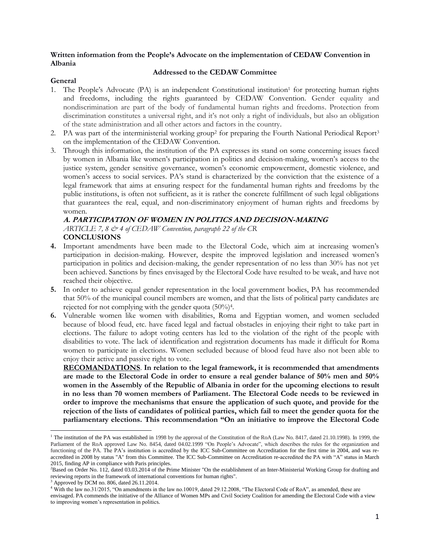## **Written information from the People's Advocate on the implementation of CEDAW Convention in Albania**

## **General**

## **Addressed to the CEDAW Committee**

1. The People's Advocate (PA) is an independent Constitutional institution<sup>1</sup> for protecting human rights and freedoms, including the rights guaranteed by CEDAW Convention. Gender equality and nondiscrimination are part of the body of fundamental human rights and freedoms. Protection from discrimination constitutes a universal right, and it's not only a right of individuals, but also an obligation of the state administration and all other actors and factors in the country.

# 2. PA was part of the interministerial working group<sup>2</sup> for preparing the Fourth National Periodical Report<sup>3</sup> on the implementation of the CEDAW Convention.

3. Through this information, the institution of the PA expresses its stand on some concerning issues faced by women in Albania like women's participation in politics and decision-making, women's access to the justice system, gender sensitive governance, women's economic empowerment, domestic violence, and women's access to social services. PA's stand is characterized by the conviction that the existence of a legal framework that aims at ensuring respect for the fundamental human rights and freedoms by the public institutions, is often not sufficient, as it is rather the concrete fulfillment of such legal obligations that guarantees the real, equal, and non-discriminatory enjoyment of human rights and freedoms by women.

# **A. PARTICIPATION OF WOMEN IN POLITICS AND DECISION-MAKING** *ARTICLE 7, 8 & 4 of CEDAW Convention, paragraph 22 of the CR* **CONCLUSIONS**

- **4.** Important amendments have been made to the Electoral Code, which aim at increasing women's participation in decision-making. However, despite the improved legislation and increased women's participation in politics and decision-making, the gender representation of no less than 30% has not yet been achieved. Sanctions by fines envisaged by the Electoral Code have resulted to be weak, and have not reached their objective.
- **5.** In order to achieve equal gender representation in the local government bodies, PA has recommended that 50% of the municipal council members are women, and that the lists of political party candidates are rejected for not complying with the gender quota (50%)<sup>4</sup>.
- **6.** Vulnerable women like women with disabilities, Roma and Egyptian women, and women secluded because of blood feud, etc. have faced legal and factual obstacles in enjoying their right to take part in elections. The failure to adopt voting centers has led to the violation of the right of the people with disabilities to vote. The lack of identification and registration documents has made it difficult for Roma women to participate in elections. Women secluded because of blood feud have also not been able to enjoy their active and passive right to vote.

**RECOMANDATIONS**. **In relation to the legal framework, it is recommended that amendments are made to the Electoral Code in order to ensure a real gender balance of 50% men and 50% women in the Assembly of the Republic of Albania in order for the upcoming elections to result in no less than 70 women members of Parliament. The Electoral Code needs to be reviewed in order to improve the mechanisms that ensure the application of such quote, and provide for the rejection of the lists of candidates of political parties, which fail to meet the gender quota for the parliamentary elections. This recommendation "On an initiative to improve the Electoral Code** 

<sup>&</sup>lt;sup>1</sup> The institution of the PA was established in 1998 by the approval of the Constitution of the RoA (Law No. 8417, dated 21.10.1998). In 1999, the Parliament of the RoA approved Law No. 8454, dated 04.02.1999 "On People's Advocate", which describes the rules for the organization and functioning of the PA. The PA's institution is accredited by the ICC Sub-Committee on Accreditation for the first time in 2004, and was reaccredited in 2008 by status "A" from this Committee. The ICC Sub-Committee on Accreditation re-accredited the PA with "A" status in March 2015, finding AP in compliance with Paris principles.

 ${}^{2}$ Based on Order No. 112, dated 03.03.2014 of the Prime Minister "On the establishment of an Inter-Ministerial Working Group for drafting and reviewing reports in the framework of international conventions for human rights".

Approved by DCM no. 806, dated 26.11.2014.

<sup>&</sup>lt;sup>4</sup> With the law no.31/2015, "On amendments in the law no.10019, dated 29.12.2008, "The Electoral Code of RoA", as amended, these are

envisaged. PA commends the initiative of the Alliance of Women MPs and Civil Society Coalition for amending the Electoral Code with a view to improving women's representation in politics.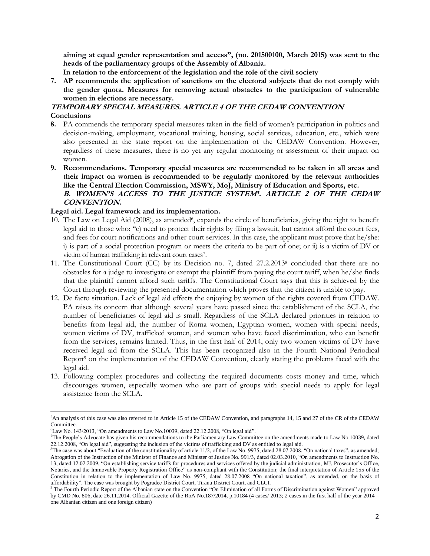**aiming at equal gender representation and access", (no. 201500100, March 2015) was sent to the heads of the parliamentary groups of the Assembly of Albania.**

**In relation to the enforcement of the legislation and the role of the civil society**

**7. AP recommends the application of sanctions on the electoral subjects that do not comply with the gender quota. Measures for removing actual obstacles to the participation of vulnerable women in elections are necessary.**

# **TEMPORARY SPECIAL MEASURES. ARTICLE 4 OF THE CEDAW CONVENTION Conclusions**

- **8.** PA commends the temporary special measures taken in the field of women's participation in politics and decision-making, employment, vocational training, housing, social services, education, etc., which were also presented in the state report on the implementation of the CEDAW Convention. However, regardless of these measures, there is no yet any regular monitoring or assessment of their impact on women.
- **9. Recommendations. Temporary special measures are recommended to be taken in all areas and their impact on women is recommended to be regularly monitored by the relevant authorities like the Central Election Commission, MSWY, MoJ, Ministry of Education and Sports, etc. B. WOMEN'S ACCESS TO THE JUSTICE SYSTEM<sup>5</sup> . ARTICLE 2 OF THE CEDAW CONVENTION.**

#### **Legal aid. Legal framework and its implementation.**

- 10. The Law on Legal Aid (2008), as amended<sup>6</sup>, expands the circle of beneficiaries, giving the right to benefit legal aid to those who: "c) need to protect their rights by filing a lawsuit, but cannot afford the court fees, and fees for court notifications and other court services. In this case, the applicant must prove that he/she: i) is part of a social protection program or meets the criteria to be part of one; or ii) is a victim of DV or victim of human trafficking in relevant court cases<sup>7</sup> .
- 11. The Constitutional Court (CC) by its Decision no. 7, dated 27.2.2013<sup>8</sup> concluded that there are no obstacles for a judge to investigate or exempt the plaintiff from paying the court tariff, when he/she finds that the plaintiff cannot afford such tariffs. The Constitutional Court says that this is achieved by the Court through reviewing the presented documentation which proves that the citizen is unable to pay.
- 12. De facto situation. Lack of legal aid effects the enjoying by women of the rights covered from CEDAW. PA raises its concern that although several years have passed since the establishment of the SCLA, the number of beneficiaries of legal aid is small. Regardless of the SCLA declared priorities in relation to benefits from legal aid, the number of Roma women, Egyptian women, women with special needs, women victims of DV, trafficked women, and women who have faced discrimination, who can benefit from the services, remains limited. Thus, in the first half of 2014, only two women victims of DV have received legal aid from the SCLA. This has been recognized also in the Fourth National Periodical Report<sup>9</sup> on the implementation of the CEDAW Convention, clearly stating the problems faced with the legal aid.
- 13. Following complex procedures and collecting the required documents costs money and time, which discourages women, especially women who are part of groups with special needs to apply for legal assistance from the SCLA.

<sup>&</sup>lt;sup>5</sup>An analysis of this case was also referred to in Article 15 of the CEDAW Convention, and paragraphs 14, 15 and 27 of the CR of the CEDAW Committee.

 $6$ Law No. 143/2013, "On amendments to Law No.10039, dated 22.12.2008, "On legal aid".

<sup>7</sup>The People's Advocate has given his recommendations to the Parliamentary Law Committee on the amendments made to Law No.10039, dated 22.12.2008, "On legal aid", suggesting the inclusion of the victims of trafficking and DV as entitled to legal aid.

<sup>&</sup>lt;sup>8</sup>The case was about "Evaluation of the constitutionality of article  $11/2$ , of the Law No. 9975, dated 28.07.2008, "On national taxes", as amended; Abrogation of the Instruction of the Minister of Finance and Minister of Justice No. 991/3, dated 02.03.2010, "On amendments to Instruction No. 13, dated 12.02.2009, "On establishing service tariffs for procedures and services offered by the judicial administration, MJ, Prosecutor's Office, Notaries, and the Immovable Property Registration Office" as non-compliant with the Constitution; the final interpretation of Article 155 of the Constitution in relation to the implementation of Law No. 9975, dated 28.07.2008 "On national taxation", as amended, on the basis of affordability". The case was brought by Pogradec District Court, Tirana District Court, and CLCI.

<sup>9</sup> The Fourth Periodic Report of the Albanian state on the Convention "On Elimination of all Forms of Discrimination against Women" approved by CMD No. 806, date 26.11.2014. Official Gazette of the RoA No.187/2014, p.10184 (4 cases/ 2013; 2 cases in the first half of the year 2014 – one Albanian citizen and one foreign citizen)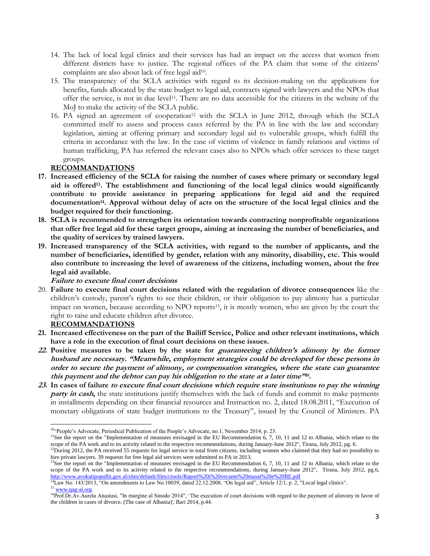- 14. The lack of local legal clinics and their services has had an impact on the access that women from different districts have to justice. The regional offices of the PA claim that some of the citizens' complaints are also about lack of free legal aid<sup>10</sup>.
- 15. The transparency of the SCLA activities with regard to its decision-making on the applications for benefits, funds allocated by the state budget to legal aid, contracts signed with lawyers and the NPOs that offer the service, is not in due level<sup>11</sup> . There are no data accessible for the citizens in the website of the MoJ to make the activity of the SCLA public.
- 16. PA signed an agreement of cooperation<sup>12</sup> with the SCLA in June 2012, through which the SCLA committed itself to assess and process cases referred by the PA in line with the law and secondary legislation, aiming at offering primary and secondary legal aid to vulnerable groups, which fulfill the criteria in accordance with the law. In the case of victims of violence in family relations and victims of human trafficking, PA has referred the relevant cases also to NPOs which offer services to these target groups.

# **RECOMMANDATIONS**

- **17. Increased efficiency of the SCLA for raising the number of cases where primary or secondary legal aid is offered<sup>13</sup> . The establishment and functioning of the local legal clinics would significantly contribute to provide assistance in preparing applications for legal aid and the required documentation<sup>14</sup> . Approval without delay of acts on the structure of the local legal clinics and the budget required for their functioning.**
- **18. SCLA is recommended to strengthen its orientation towards contracting nonprofitable organizations that offer free legal aid for these target groups, aiming at increasing the number of beneficiaries, and the quality of services by trained lawyers.**
- **19. Increased transparency of the SCLA activities, with regard to the number of applicants, and the number of beneficiaries, identified by gender, relation with any minority, disability, etc. This would also contribute to increasing the level of awareness of the citizens, including women, about the free legal aid available.**

**Failure to execute final court decisions**

20. **Failure to execute final court decisions related with the regulation of divorce consequences** like the children's custody, parent's rights to see their children, or their obligation to pay alimony has a particular impact on women, because according to NPO reports<sup>15</sup>, it is mostly women, who are given by the court the right to raise and educate children after divorce.

# **RECOMMANDATIONS**

- **21. Increased effectiveness on the part of the Bailiff Service, Police and other relevant institutions, which have a role in the execution of final court decisions on these issues.**
- **22. Positive measures to be taken by the state for guaranteeing children's alimony by the former husband are necessary. "Meanwhile, employment strategies could be developed for these persons in order to secure the payment of alimony, or compensation strategies, where the state can guarantee this payment and the debtor can pay his obligation to the state at a later time"<sup>16</sup> .**
- **23. In cases of failure to execute final court decisions which require state institutions to pay the winning party in cash,** the state institutions justify themselves with the lack of funds and commit to make payments in installments depending on their financial resources and Instruction no. 2, dated 18.08.2011, "Execution of monetary obligations of state budget institutions to the Treasury", issued by the Council of Ministers. PA

<sup>&</sup>lt;sup>10</sup>"People's Advocate, Periodical Publication of the People's Advocate, no.1, November 2014, p. 23.

<sup>&</sup>lt;sup>11</sup>See the report on the "Implementation of measures envisaged in the EU Recommendation  $6, 7, 10, 11$  and 12 to Albania, which relate to the scope of the PA work and to its activity related to the respective recommendations, during January-June 2012", Tirana, July 2012, pg. 6.

 $12$ During 2012, the PA received 55 requests for legal service in total from citizens, including women who claimed that they had no possibility to hire private lawyers. 39 requests for free legal aid services were submitted to PA in 2013.

 $13$ See the report on the "Implementation of measures envisaged in the EU Recommendation 6, 7, 10, 11 and 12 to Albania, which relate to the scope of the PA work and to its activity related to the respective recommendations, during January-June 2012", Tirana, July 2012, pg.6, <http://www.avokatipopullit.gov.al/sites/default/files/ctools/Raport%20i%20vecante%20masat%20e%20BE.pdf>

 $^{14}$ Law No. 143/2013, "On amendments to Law No.10039, dated 22.12.2008, "On legal aid", Article 12/1, p. 2, "Local legal clinics". <sup>15</sup> [www.qag-al.org](http://www.qag-al.org/)

<sup>&</sup>lt;sup>16</sup>Prof.Dr.Av.Aurela Anastasi, "In margine al Sinodo 2014", 'The execution of court decisions with regard to the payment of alimony in favor of the children in cases of divorce. (The case of Albania)', Bari 2014, p.44.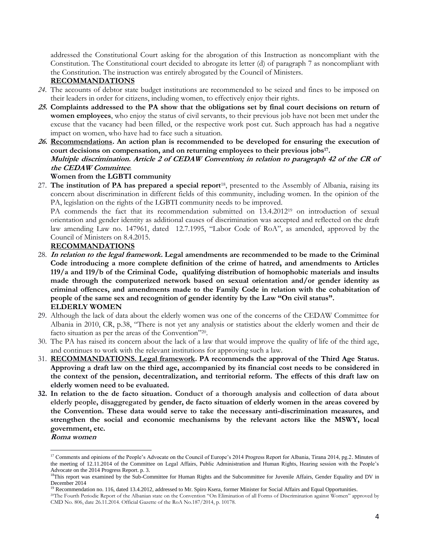addressed the Constitutional Court asking for the abrogation of this Instruction as noncompliant with the Constitution. The Constitutional court decided to abrogate its letter (d) of paragraph 7 as noncompliant with the Constitution. The instruction was entirely abrogated by the Council of Ministers.

# **RECOMMANDATIONS**

- *24.* The accounts of debtor state budget institutions are recommended to be seized and fines to be imposed on their leaders in order for citizens, including women, to effectively enjoy their rights.
- **25. Complaints addressed to the PA show that the obligations set by final court decisions on return of women employees**, who enjoy the status of civil servants, to their previous job have not been met under the excuse that the vacancy had been filled, or the respective work post cut. Such approach has had a negative impact on women, who have had to face such a situation.
- **26. Recommendations. An action plan is recommended to be developed for ensuring the execution of court decisions on compensation, and on returning employees to their previous jobs<sup>17</sup> . Multiple discrimination. Article 2 of CEDAW Convention; in relation to paragraph 42 of the CR of the CEDAW Committee***.*

# **Women from the LGBTI community**

27. **The institution of PA has prepared a special report**18, presented to the Assembly of Albania, raising its concern about discrimination in different fields of this community, including women. In the opinion of the PA, legislation on the rights of the LGBTI community needs to be improved.

PA commends the fact that its recommendation submitted on 13.4.2012<sup>19</sup> on introduction of sexual orientation and gender identity as additional causes of discrimination was accepted and reflected on the draft law amending Law no. 147961, dated 12.7.1995, "Labor Code of RoA", as amended, approved by the Council of Ministers on 8.4.2015.

## **RECOMMANDATIONS**

- 28. **In relation to the legal framework. Legal amendments are recommended to be made to the Criminal Code introducing a more complete definition of the crime of hatred, and amendments to Articles 119/a and 119/b of the Criminal Code, qualifying distribution of homophobic materials and insults made through the computerized network based on sexual orientation and/or gender identity as criminal offences, and amendments made to the Family Code in relation with the cohabitation of people of the same sex and recognition of gender identity by the Law "On civil status". ELDERLY WOMEN**
- 29. Although the lack of data about the elderly women was one of the concerns of the CEDAW Committee for Albania in 2010, CR, p.38, "There is not yet any analysis or statistics about the elderly women and their de facto situation as per the areas of the Convention"<sup>20</sup>.
- 30. The PA has raised its concern about the lack of a law that would improve the quality of life of the third age, and continues to work with the relevant institutions for approving such a law.
- 31. **RECOMMANDATIONS. Legal framework. PA recommends the approval of the Third Age Status. Approving a draft law on the third age, accompanied by its financial cost needs to be considered in the context of the pension, decentralization, and territorial reform. The effects of this draft law on elderly women need to be evaluated.**
- **32. In relation to the de facto situation. Conduct of a thorough analysis and collection of data about elderly people, disaggregated by gender, de facto situation of elderly women in the areas covered by the Convention. These data would serve to take the necessary anti-discrimination measures, and strengthen the social and economic mechanisms by the relevant actors like the MSWY, local government, etc.**

**Roma women**

 $\overline{a}$ 

<sup>&</sup>lt;sup>17</sup> Comments and opinions of the People's Advocate on the Council of Europe's 2014 Progress Report for Albania, Tirana 2014, pg.2. Minutes of the meeting of 12.11.2014 of the Committee on Legal Affairs, Public Administration and Human Rights, Hearing session with the People's Advocate on the 2014 Progress Report. p. 3.

<sup>&</sup>lt;sup>18</sup>This report was examined by the Sub-Committee for Human Rights and the Subcommittee for Juvenile Affairs, Gender Equality and DV in December 2014

 $19$  Recommendation no. 116, dated 13.4.2012, addressed to Mr. Spiro Ksera, former Minister for Social Affairs and Equal Opportunities.

<sup>20</sup>The Fourth Periodic Report of the Albanian state on the Convention "On Elimination of all Forms of Discrimination against Women" approved by CMD No. 806, date 26.11.2014. Official Gazette of the RoA No.187/2014, p. 10178.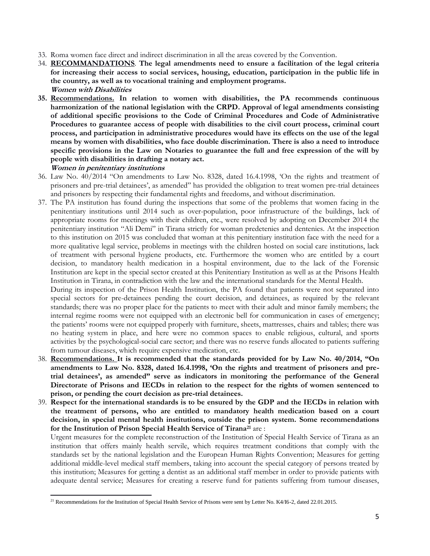- 33. Roma women face direct and indirect discrimination in all the areas covered by the Convention.
- 34. **RECOMMANDATIONS**. **The legal amendments need to ensure a facilitation of the legal criteria for increasing their access to social services, housing, education, participation in the public life in the country, as well as to vocational training and employment programs. Women with Disabilities**
- **35. Recommendations. In relation to women with disabilities, the PA recommends continuous harmonization of the national legislation with the CRPD. Approval of legal amendments consisting of additional specific provisions to the Code of Criminal Procedures and Code of Administrative Procedures to guarantee access of people with disabilities to the civil court process, criminal court process, and participation in administrative procedures would have its effects on the use of the legal means by women with disabilities, who face double discrimination. There is also a need to introduce specific provisions in the Law on Notaries to guarantee the full and free expression of the will by people with disabilities in drafting a notary act. Women in penitentiary institutions**
- 36. Law No. 40/2014 "On amendments to Law No. 8328, dated 16.4.1998, 'On the rights and treatment of prisoners and pre-trial detainees', as amended" has provided the obligation to treat women pre-trial detainees and prisoners by respecting their fundamental rights and freedoms, and without discrimination.
- 37. The PA institution has found during the inspections that some of the problems that women facing in the penitentiary institutions until 2014 such as over-population, poor infrastructure of the buildings, lack of appropriate rooms for meetings with their children, etc., were resolved by adopting on December 2014 the penitentiary institution "Ali Demi" in Tirana strictly for woman predetenies and dentenies. At the inspection to this institution on 2015 was concluded that woman at this penitentiary institution face with the need for a more qualitative legal service, problems in meetings with the children hosted on social care institutions, lack of treatment with personal hygiene products, etc. Furthermore the women who are entitled by a court decision, to mandatory health medication in a hospital environment, due to the lack of the Forensic Institution are kept in the special sector created at this Penitentiary Institution as well as at the Prisons Health Institution in Tirana, in contradiction with the law and the international standards for the Mental Health.

During its inspection of the Prison Health Institution, the PA found that patients were not separated into special sectors for pre-detainees pending the court decision, and detainees, as required by the relevant standards; there was no proper place for the patients to meet with their adult and minor family members; the internal regime rooms were not equipped with an electronic bell for communication in cases of emergency; the patients' rooms were not equipped properly with furniture, sheets, mattresses, chairs and tables; there was no heating system in place, and here were no common spaces to enable religious, cultural, and sports activities by the psychological-social care sector; and there was no reserve funds allocated to patients suffering from tumour diseases, which require expensive medication, etc.

- 38. **Recommendations. It is recommended that the standards provided for by Law No. 40/2014, "On amendments to Law No. 8328, dated 16.4.1998, 'On the rights and treatment of prisoners and pretrial detainees', as amended" serve as indicators in monitoring the performance of the General Directorate of Prisons and IECDs in relation to the respect for the rights of women sentenced to prison, or pending the court decision as pre-trial detainees.**
- 39. **Respect for the international standards is to be ensured by the GDP and the IECDs in relation with the treatment of persons, who are entitled to mandatory health medication based on a court decision, in special mental health institutions, outside the prison system. Some recommendations for the Institution of Prison Special Health Service of Tirana<sup>21</sup>** are :

Urgent measures for the complete reconstruction of the Institution of Special Health Service of Tirana as an institution that offers mainly health servile, which requires treatment conditions that comply with the standards set by the national legislation and the European Human Rights Convention; Measures for getting additional middle-level medical staff members, taking into account the special category of persons treated by this institution; Measures for getting a dentist as an additional staff member in order to provide patients with adequate dental service; Measures for creating a reserve fund for patients suffering from tumour diseases,

 $\overline{\phantom{a}}$ <sup>21</sup> Recommendations for the Institution of Special Health Service of Prisons were sent by Letter No. K4/I6-2, dated 22.01.2015.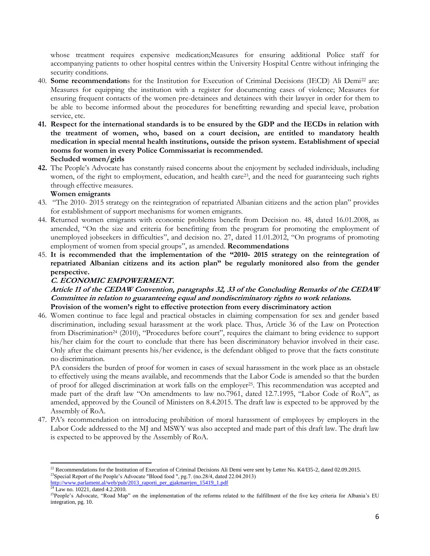whose treatment requires expensive medication;Measures for ensuring additional Police staff for accompanying patients to other hospital centres within the University Hospital Centre without infringing the security conditions.

- 40. **Some recommendation**s for the Institution for Execution of Criminal Decisions (IECD) Ali Demi<sup>22</sup> are: Measures for equipping the institution with a register for documenting cases of violence; Measures for ensuring frequent contacts of the women pre-detainees and detainees with their lawyer in order for them to be able to become informed about the procedures for benefitting rewarding and special leave, probation service, etc.
- **41. Respect for the international standards is to be ensured by the GDP and the IECDs in relation with the treatment of women, who, based on a court decision, are entitled to mandatory health medication in special mental health institutions, outside the prison system. Establishment of special rooms for women in every Police Commissariat is recommended. Secluded women/girls**
- **42.** The People's Advocate has constantly raised concerns about the enjoyment by secluded individuals, including women, of the right to employment, education, and health care<sup>23</sup>, and the need for guaranteeing such rights through effective measures.

## **Women emigrants**

- 43. "The 2010- 2015 strategy on the reintegration of repatriated Albanian citizens and the action plan" provides for establishment of support mechanisms for women emigrants.
- 44. Returned women emigrants with economic problems benefit from Decision no. 48, dated 16.01.2008, as amended, "On the size and criteria for benefitting from the program for promoting the employment of unemployed jobseekers in difficulties", and decision no. 27, dated 11.01.2012, "On programs of promoting employment of women from special groups", as amended. **Recommendations**
- 45. **It is recommended that the implementation of the "2010- 2015 strategy on the reintegration of repatriated Albanian citizens and its action plan" be regularly monitored also from the gender perspective.**

# **C. ECONOMIC EMPOWERMENT.**

## **Article 11 of the CEDAW Convention, paragraphs 32, 33 of the Concluding Remarks of the CEDAW Committee in relation to guaranteeing equal and nondiscriminatory rights to work relations. Provision of the women's right to effective protection from every discriminatory action**

46. Women continue to face legal and practical obstacles in claiming compensation for sex and gender based discrimination, including sexual harassment at the work place. Thus, Article 36 of the Law on Protection from Discrimination<sup>24</sup> (2010), "Procedures before court", requires the claimant to bring evidence to support his/her claim for the court to conclude that there has been discriminatory behavior involved in their case. Only after the claimant presents his/her evidence, is the defendant obliged to prove that the facts constitute no discrimination.

PA considers the burden of proof for women in cases of sexual harassment in the work place as an obstacle to effectively using the means available, and recommends that the Labor Code is amended so that the burden of proof for alleged discrimination at work falls on the employer25. This recommendation was accepted and made part of the draft law "On amendments to law no.7961, dated 12.7.1995, "Labor Code of RoA", as amended, approved by the Council of Ministers on 8.4.2015. The draft law is expected to be approved by the Assembly of RoA.

47. PA's recommendation on introducing prohibition of moral harassment of employees by employers in the Labor Code addressed to the MJ and MSWY was also accepted and made part of this draft law. The draft law is expected to be approved by the Assembly of RoA.

 $\overline{a}$  $^{22}$  Recommendations for the Institution of Execution of Criminal Decisions Ali Demi were sent by Letter No. K4/I35-2, dated 02.09.2015. <sup>23</sup>Special Report of the People's Advocate "Blood food ", pg.7. (no.28/4, dated 22.04.2013) [http://www.parlament.al/web/pub/2013\\_raporti\\_per\\_gjakmarrjen\\_15419\\_1.pdf](http://www.parlament.al/web/pub/2013_raporti_per_gjakmarrjen_15419_1.pdf)

 $24$  Law no. 10221, dated 4.2.2010.

<sup>&</sup>lt;sup>25</sup>People's Advocate, "Road Map" on the implementation of the reforms related to the fulfillment of the five key criteria for Albania's EU integration, pg. 10.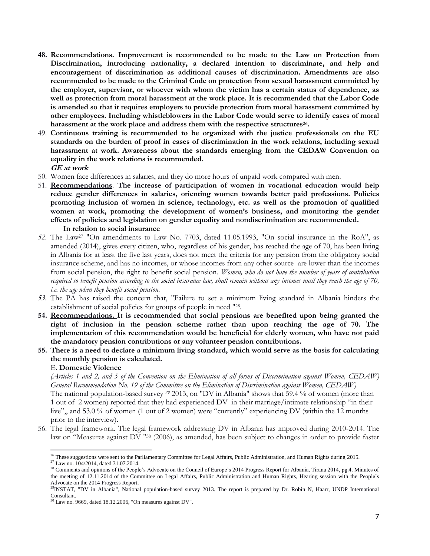- **48. Recommendations. Improvement is recommended to be made to the Law on Protection from Discrimination, introducing nationality, a declared intention to discriminate, and help and encouragement of discrimination as additional causes of discrimination. Amendments are also recommended to be made to the Criminal Code on protection from sexual harassment committed by the employer, supervisor, or whoever with whom the victim has a certain status of dependence, as well as protection from moral harassment at the work place. It is recommended that the Labor Code is amended so that it requires employers to provide protection from moral harassment committed by other employees. Including whistleblowers in the Labor Code would serve to identify cases of moral harassment at the work place and address them with the respective structures<sup>26</sup> .**
- 49. **Continuous training is recommended to be organized with the justice professionals on the EU standards on the burden of proof in cases of discrimination in the work relations, including sexual harassment at work. Awareness about the standards emerging from the CEDAW Convention on equality in the work relations is recommended. GE at work**
- 50. Women face differences in salaries, and they do more hours of unpaid work compared with men.
- 51. **Recommendations**. **The increase of participation of women in vocational education would help reduce gender differences in salaries, orienting women towards better paid professions. Policies promoting inclusion of women in science, technology, etc. as well as the promotion of qualified women at work, promoting the development of women's business, and monitoring the gender effects of policies and legislation on gender equality and nondiscrimination are recommended. In relation to social insurance**
- *52.* The Law<sup>27</sup> "On amendments to Law No. 7703, dated 11.05.1993, "On social insurance in the RoA", as amended (2014), gives every citizen, who, regardless of his gender, has reached the age of 70, has been living in Albania for at least the five last years, does not meet the criteria for any pension from the obligatory social insurance scheme, and has no incomes, or whose incomes from any other source are lower than the incomes from social pension, the right to benefit social pension. *Women, who do not have the number of years of contribution required to benefit pension according to the social insurance law, shall remain without any incomes until they reach the age of 70, i.e. the age when they benefit social pension.*
- *53.* The PA has raised the concern that, "Failure to set a minimum living standard in Albania hinders the establishment of social policies for groups of people in need "28.
- **54. Recommendations. It is recommended that social pensions are benefited upon being granted the right of inclusion in the pension scheme rather than upon reaching the age of 70. The implementation of this recommendation would be beneficial for elderly women, who have not paid the mandatory pension contributions or any volunteer pension contributions.**
- **55. There is a need to declare a minimum living standard, which would serve as the basis for calculating the monthly pension is calculated.**

## E. **Domestic Violence**

*(Articles 1 and 2, and 5 of the Convention on the Elimination of all forms of Discrimination against Women, CEDAW) General Recommendation No. 19 of the Committee on the Elimination of Discrimination against Women, CEDAW)* The national population-based survey *<sup>29</sup>* 2013, on "DV in Albania" shows that 59.4 % of women (more than 1 out of 2 women) reported that they had experienced DV in their marriage/intimate relationship "in their live",, and 53.0 % of women (1 out of 2 women) were "currently" experiencing DV (within the 12 months prior to the interview).

56. The legal framework. The legal framework addressing DV in Albania has improved during 2010-2014. The law on "Measures against DV " <sup>30</sup> (2006), as amended, has been subject to changes in order to provide faster

 $\overline{a}$ <sup>26</sup> These suggestions were sent to the Parliamentary Committee for Legal Affairs, Public Administration, and Human Rights during 2015.  $27$  Law no. 104/2014, dated 31.07.2014.

<sup>&</sup>lt;sup>28</sup> Comments and opinions of the People's Advocate on the Council of Europe's 2014 Progress Report for Albania, Tirana 2014, pg.4. Minutes of the meeting of 12.11.2014 of the Committee on Legal Affairs, Public Administration and Human Rights, Hearing session with the People's Advocate on the 2014 Progress Report.

<sup>&</sup>lt;sup>29</sup>INSTAT, "DV in Albania", National population-based survey 2013. The report is prepared by Dr. Robin N, Haarr, UNDP International Consultant.

 $30$  Law no. 9669, dated 18.12.2006, "On measures against DV".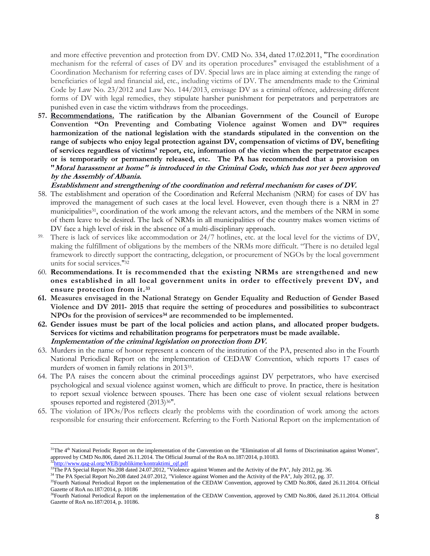and more effective prevention and protection from DV. CMD No. 334, dated 17.02.2011, "The coordination mechanism for the referral of cases of DV and its operation procedures" envisaged the establishment of a Coordination Mechanism for referring cases of DV. Special laws are in place aiming at extending the range of beneficiaries of legal and financial aid, etc., including victims of DV. The amendments made to the Criminal Code by Law No. 23/2012 and Law No. 144/2013, envisage DV as a criminal offence, addressing different forms of DV with legal remedies, they stipulate harsher punishment for perpetrators and perpetrators are punished even in case the victim withdraws from the proceedings.

**57. Recommendations. The ratification by the Albanian Government of the Council of Europe Convention "On Preventing and Combating Violence against Women and DV" requires harmonization of the national legislation with the standards stipulated in the convention on the range of subjects who enjoy legal protection against DV, compensation of victims of DV, benefiting of services regardless of victims' report, etc, information of the victim when the perpetrator escapes or is temporarily or permanently released, etc. The PA has recommended that a provision on "Moral harassment at home" is introduced in the Criminal Code, which has not yet been approved by the Assembly of Albania.**

**Establishment and strengthening of the coordination and referral mechanism for cases of DV.** 

- 58. The establishment and operation of the Coordination and Referral Mechanism (NRM) for cases of DV has improved the management of such cases at the local level. However, even though there is a NRM in 27 municipalities<sup>31</sup>, coordination of the work among the relevant actors, and the members of the NRM in some of them leave to be desired. The lack of NRMs in all municipalities of the country makes women victims of DV face a high level of risk in the absence of a multi-disciplinary approach.
- 59. There is lack of services like accommodation or 24/7 hotlines, etc. at the local level for the victims of DV, making the fulfillment of obligations by the members of the NRMs more difficult. "There is no detailed legal framework to directly support the contracting, delegation, or procurement of NGOs by the local government units for social services."<sup>32</sup>
- 60. **Recommendations**. **It is recommended that the existing NRMs are strengthened and new ones established in all local government units in order to effectively prevent DV, and ensure protection from it. 33**
- **61. Measures envisaged in the National Strategy on Gender Equality and Reduction of Gender Based Violence and DV 2011- 2015 that require the setting of procedures and possibilities to subcontract NPOs for the provision of services<sup>34</sup> are recommended to be implemented.**
- **62. Gender issues must be part of the local policies and action plans, and allocated proper budgets. Services for victims and rehabilitation programs for perpetrators must be made available. Implementation of the criminal legislation on protection from DV.**
- 63. Murders in the name of honor represent a concern of the institution of the PA, presented also in the Fourth National Periodical Report on the implementation of CEDAW Convention, which reports 17 cases of murders of women in family relations in 2013<sup>35</sup> .
- 64. The PA raises the concern about the criminal proceedings against DV perpetrators, who have exercised psychological and sexual violence against women, which are difficult to prove. In practice, there is hesitation to report sexual violence between spouses. There has been one case of violent sexual relations between spouses reported and registered  $(2013)^{36}$ ".
- 65. The violation of IPOs/Pos reflects clearly the problems with the coordination of work among the actors responsible for ensuring their enforcement. Referring to the Forth National Report on the implementation of

 $31$ The  $4<sup>th</sup>$  National Periodic Report on the implementation of the Convention on the "Elimination of all forms of Discrimination against Women", approved by CMD No.806, dated 26.11.2014. The Official Journal of the RoA no.187/2014, p.10183.

[http://www.qag-al.org/WEB/publikime/kontraktimi\\_ojf.pdf](http://www.qag-al.org/WEB/publikime/kontraktimi_ojf.pdf)

<sup>&</sup>lt;sup>33</sup>The PA Special Report No.208 dated 24.07.2012, "Violence against Women and the Activity of the PA", July 2012, pg. 36.

<sup>&</sup>lt;sup>34</sup> The PA Special Report No.208 dated 24.07.2012, "Violence against Women and the Activity of the PA", July 2012, pg. 37.

<sup>&</sup>lt;sup>35</sup>Fourth National Periodical Report on the implementation of the CEDAW Convention, approved by CMD No.806, dated 26.11.2014. Official Gazette of RoA no.187/2014, p. 10186

<sup>&</sup>lt;sup>36</sup>Fourth National Periodical Report on the implementation of the CEDAW Convention, approved by CMD No.806, dated 26.11.2014. Official Gazette of RoA no.187/2014, p. 10186.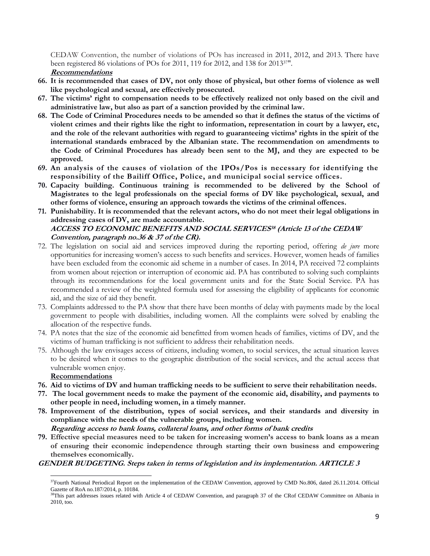CEDAW Convention, the number of violations of POs has increased in 2011, 2012, and 2013. There have been registered 86 violations of POs for 2011, 119 for 2012, and 138 for 201337".

**Recommendations**

- **66. It is recommended that cases of DV, not only those of physical, but other forms of violence as well like psychological and sexual, are effectively prosecuted.**
- **67. The victims' right to compensation needs to be effectively realized not only based on the civil and administrative law, but also as part of a sanction provided by the criminal law.**
- **68. The Code of Criminal Procedures needs to be amended so that it defines the status of the victims of violent crimes and their rights like the right to information, representation in court by a lawyer, etc, and the role of the relevant authorities with regard to guaranteeing victims' rights in the spirit of the international standards embraced by the Albanian state. The recommendation on amendments to the Code of Criminal Procedures has already been sent to the MJ, and they are expected to be approved.**
- **69. An analysis of the causes of violation of the IPOs/Pos is necessary for identifying the responsibility of the Bailiff Office, Police, and municipal social service offices.**
- **70. Capacity building. Continuous training is recommended to be delivered by the School of Magistrates to the legal professionals on the special forms of DV like psychological, sexual, and other forms of violence, ensuring an approach towards the victims of the criminal offences.**
- **71. Punishability. It is recommended that the relevant actors, who do not meet their legal obligations in addressing cases of DV, are made accountable. ACCESS TO ECONOMIC BENEFITS AND SOCIAL SERVICES<sup>38</sup> (Article 13 of the CEDAW Convention, paragraph no.36 & 37 of the CR).**
- 72. The legislation on social aid and services improved during the reporting period, offering *de jure* more opportunities for increasing women's access to such benefits and services. However, women heads of families have been excluded from the economic aid scheme in a number of cases. In 2014, PA received 72 complaints from women about rejection or interruption of economic aid. PA has contributed to solving such complaints through its recommendations for the local government units and for the State Social Service. PA has recommended a review of the weighted formula used for assessing the eligibility of applicants for economic aid, and the size of aid they benefit.
- 73. Complaints addressed to the PA show that there have been months of delay with payments made by the local government to people with disabilities, including women. All the complaints were solved by enabling the allocation of the respective funds.
- 74. PA notes that the size of the economic aid benefitted from women heads of families, victims of DV, and the victims of human trafficking is not sufficient to address their rehabilitation needs.
- 75. Although the law envisages access of citizens, including women, to social services, the actual situation leaves to be desired when it comes to the geographic distribution of the social services, and the actual access that vulnerable women enjoy.

**Recommendations**

 $\overline{a}$ 

- **76. Aid to victims of DV and human trafficking needs to be sufficient to serve their rehabilitation needs.**
- **77. The local government needs to make the payment of the economic aid, disability, and payments to other people in need, including women, in a timely manner.**
- **78. Improvement of the distribution, types of social services, and their standards and diversity in compliance with the needs of the vulnerable groups, including women.**
	- **Regarding access to bank loans, collateral loans, and other forms of bank credits**
- **79. Effective special measures need to be taken for increasing women's access to bank loans as a mean of ensuring their economic independence through starting their own business and empowering themselves economically.**

# **GENDER BUDGETING. Steps taken in terms of legislation and its implementation. ARTICLE 3**

<sup>&</sup>lt;sup>37</sup>Fourth National Periodical Report on the implementation of the CEDAW Convention, approved by CMD No.806, dated 26.11.2014. Official Gazette of RoA no.187/2014, p. 10184.

<sup>&</sup>lt;sup>38</sup>This part addresses issues related with Article 4 of CEDAW Convention, and paragraph 37 of the CRof CEDAW Committee on Albania in 2010, too.